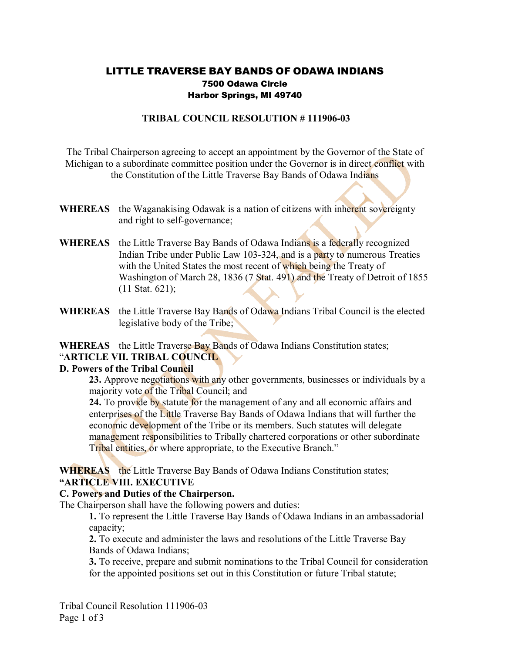# LITTLE TRAVERSE BAY BANDS OF ODAWA INDIANS 7500 Odawa Circle Harbor Springs, MI 49740

### **TRIBAL COUNCIL RESOLUTION #111906-03**

The Tribal Chairperson agreeing to accept an appointment by the Governor of the State of Michigan to a subordinate committee position under the Governor is in direct conflict with the Constitution of the Little Traverse Bay Bands of Odawa Indians

- **WHEREAS** the Waganakising Odawak is a nation of citizens with inherent sovereignty and right to self-governance;
- **WHEREAS** the Little Traverse Bay Bands of Odawa Indians is a federally recognized Indian Tribe under Public Law 103-324, and is a party to numerous Treaties with the United States the most recent of which being the Treaty of Washington of March 28, 1836 (7 Stat. 491) and the Treaty of Detroit of 1855 (11 Stat. 621);
- **WHEREAS** the Little Traverse Bay Bands of Odawa Indians Tribal Council is the elected legislative body of the Tribe;

#### WHEREAS the Little Traverse Bay Bands of Odawa Indians Constitution states; "**ARTICLE VII. TRIBAL COUNCIL**

# **D. Powers of the Tribal Council**

**23.** Approve negotiations with any other governments, businesses or individuals by a majority vote of the Tribal Council; and

**24.** To provide by statute for the management of any and all economic affairs and enterprises of the Little Traverse Bay Bands of Odawa Indians that will further the economic development of the Tribe or its members. Such statutes will delegate management responsibilities to Tribally chartered corporations or other subordinate Tribal entities, or where appropriate, to the Executive Branch."

### **WHEREAS** the Little Traverse Bay Bands of Odawa Indians Constitution states; **"ARTICLE VIII. EXECUTIVE**

### **C. Powers and Duties of the Chairperson.**

The Chairperson shall have the following powers and duties:

**1.** To represent the Little Traverse Bay Bands of Odawa Indians in an ambassadorial capacity;

**2.** To execute and administer the laws and resolutions of the Little Traverse Bay Bands of Odawa Indians;

**3.** To receive, prepare and submit nominations to the Tribal Council for consideration for the appointed positions set out in this Constitution or future Tribal statute;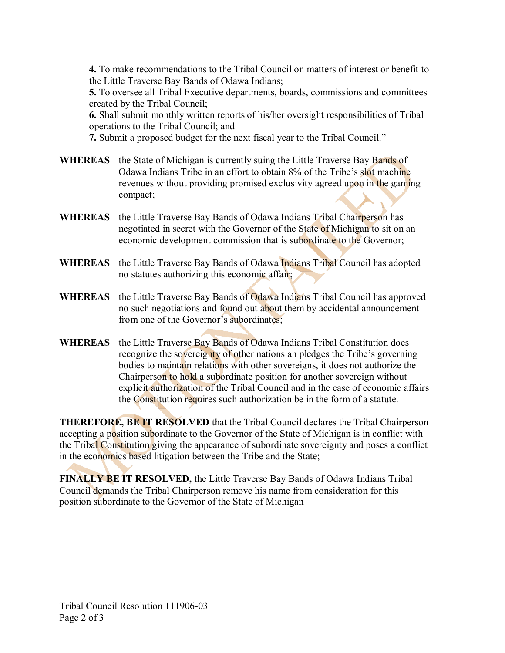**4.** To make recommendations to the Tribal Council on matters of interest or benefit to the Little Traverse Bay Bands of Odawa Indians;

**5.** To oversee all Tribal Executive departments, boards, commissions and committees created by the Tribal Council;

**6.** Shall submit monthly written reports of his/her oversight responsibilities of Tribal operations to the Tribal Council; and

**7.** Submit a proposed budget for the next fiscal year to the Tribal Council."

- **WHEREAS** the State of Michigan is currently suing the Little Traverse Bay Bands of Odawa Indians Tribe in an effort to obtain 8% of the Tribe's slot machine revenues without providing promised exclusivity agreed upon in the gaming compact;
- **WHEREAS** the Little Traverse Bay Bands of Odawa Indians Tribal Chairperson has negotiated in secret with the Governor of the State of Michigan to sit on an economic development commission that is subordinate to the Governor;
- **WHEREAS** the Little Traverse Bay Bands of Odawa Indians Tribal Council has adopted no statutes authorizing this economic affair;
- **WHEREAS** the Little Traverse Bay Bands of Odawa Indians Tribal Council has approved no such negotiations and found out about them by accidental announcement from one of the Governor's subordinates;
- **WHEREAS** the Little Traverse Bay Bands of Odawa Indians Tribal Constitution does recognize the sovereignty of other nations an pledges the Tribe's governing bodies to maintain relations with other sovereigns, it does not authorize the Chairperson to hold a subordinate position for another sovereign without explicit authorization of the Tribal Council and in the case of economic affairs the Constitution requires such authorization be in the form of a statute.

**THEREFORE, BE IT RESOLVED** that the Tribal Council declares the Tribal Chairperson accepting a position subordinate to the Governor of the State of Michigan is in conflict with the Tribal Constitution giving the appearance of subordinate sovereignty and poses a conflict in the economics based litigation between the Tribe and the State;

**FINALLY BE IT RESOLVED,** the Little Traverse Bay Bands of Odawa Indians Tribal Council demands the Tribal Chairperson remove his name from consideration for this position subordinate to the Governor of the State of Michigan